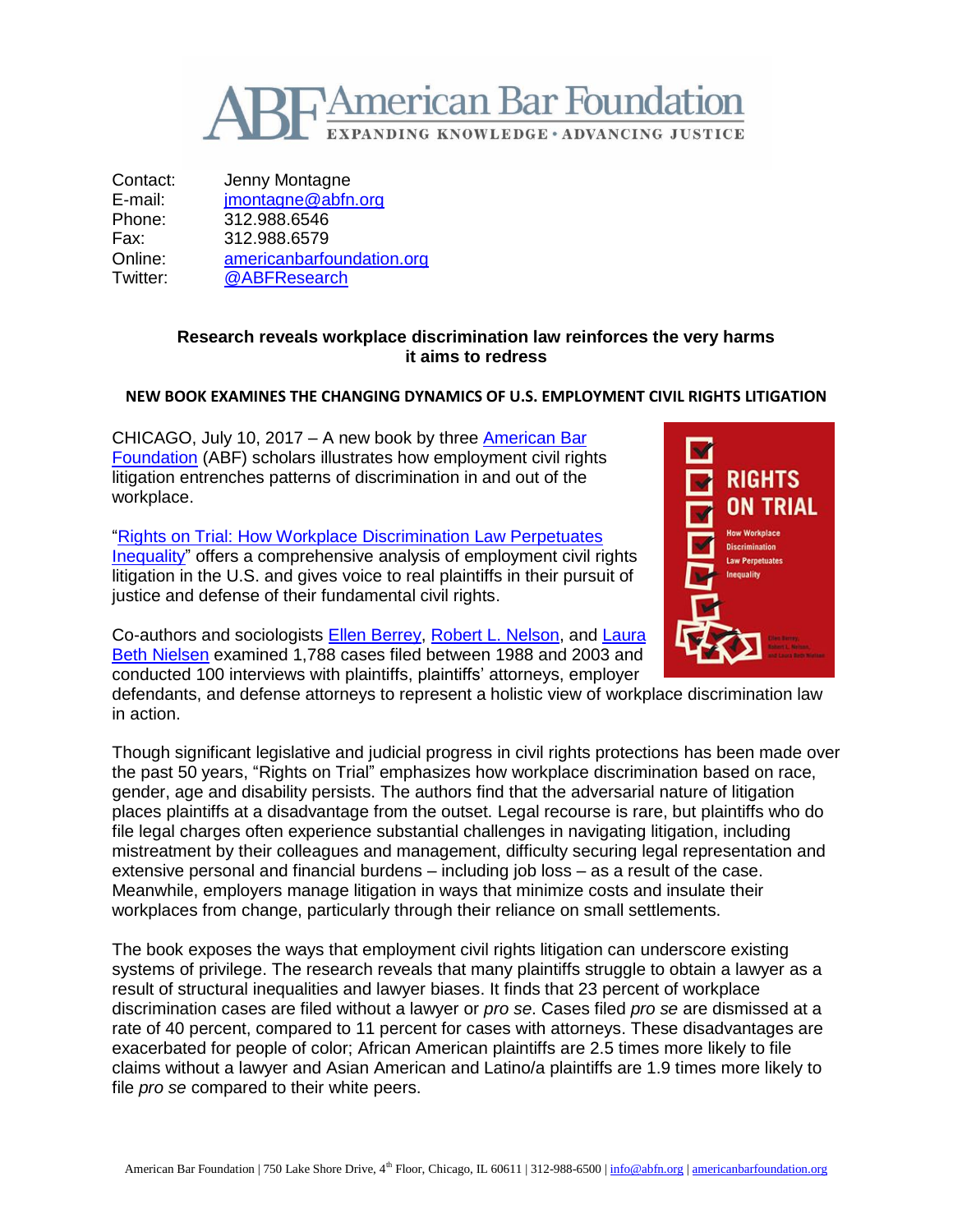

Contact: Jenny Montagne E-mail: imontagne@abfn.org Phone: 312.988.6546 Fax: 312.988.6579 Online: [americanbarfoundation.org](http://www.americanbarfoundation.org/) Twitter: [@ABFResearch](https://twitter.com/ABFResearch)

## **Research reveals workplace discrimination law reinforces the very harms it aims to redress**

## **NEW BOOK EXAMINES THE CHANGING DYNAMICS OF U.S. EMPLOYMENT CIVIL RIGHTS LITIGATION**

CHICAGO, July 10, 2017 – A new book by three [American Bar](http://www.americanbarfoundation.org/index.html)  [Foundation](http://www.americanbarfoundation.org/index.html) (ABF) scholars illustrates how employment civil rights litigation entrenches patterns of discrimination in and out of the workplace.

["Rights on Trial: How Workplace Discrimination Law Perpetuates](http://press.uchicago.edu/ucp/books/book/chicago/R/bo26176123.html)  [Inequality"](http://press.uchicago.edu/ucp/books/book/chicago/R/bo26176123.html) offers a comprehensive analysis of employment civil rights litigation in the U.S. and gives voice to real plaintiffs in their pursuit of justice and defense of their fundamental civil rights.

Co-authors and sociologists [Ellen Berrey,](http://www.americanbarfoundation.org/faculty/ResearchCommunity/Affiliated_Faculty/Ellen_Berrey0.html) [Robert L. Nelson,](http://www.americanbarfoundation.org/faculty/profile/19) and [Laura](http://www.americanbarfoundation.org/faculty/profile/20)  [Beth Nielsen](http://www.americanbarfoundation.org/faculty/profile/20) examined 1,788 cases filed between 1988 and 2003 and conducted 100 interviews with plaintiffs, plaintiffs' attorneys, employer

defendants, and defense attorneys to represent a holistic view of workplace discrimination law in action.

Though significant legislative and judicial progress in civil rights protections has been made over the past 50 years, "Rights on Trial" emphasizes how workplace discrimination based on race, gender, age and disability persists. The authors find that the adversarial nature of litigation places plaintiffs at a disadvantage from the outset. Legal recourse is rare, but plaintiffs who do file legal charges often experience substantial challenges in navigating litigation, including mistreatment by their colleagues and management, difficulty securing legal representation and extensive personal and financial burdens – including job loss – as a result of the case. Meanwhile, employers manage litigation in ways that minimize costs and insulate their workplaces from change, particularly through their reliance on small settlements.

The book exposes the ways that employment civil rights litigation can underscore existing systems of privilege. The research reveals that many plaintiffs struggle to obtain a lawyer as a result of structural inequalities and lawyer biases. It finds that 23 percent of workplace discrimination cases are filed without a lawyer or *pro se*. Cases filed *pro se* are dismissed at a rate of 40 percent, compared to 11 percent for cases with attorneys. These disadvantages are exacerbated for people of color; African American plaintiffs are 2.5 times more likely to file claims without a lawyer and Asian American and Latino/a plaintiffs are 1.9 times more likely to file *pro se* compared to their white peers.

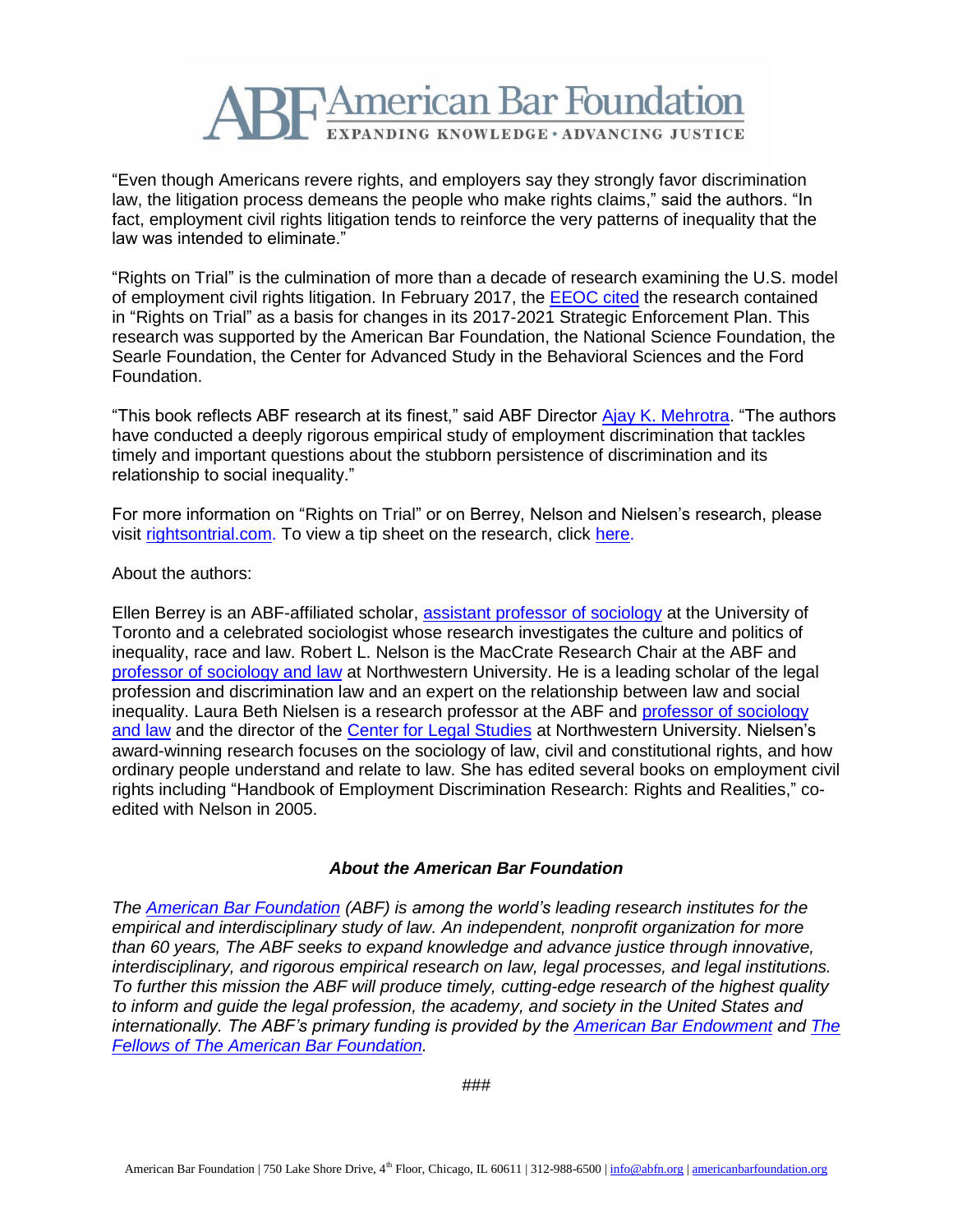

"Even though Americans revere rights, and employers say they strongly favor discrimination law, the litigation process demeans the people who make rights claims," said the authors. "In fact, employment civil rights litigation tends to reinforce the very patterns of inequality that the law was intended to eliminate."

"Rights on Trial" is the culmination of more than a decade of research examining the U.S. model of employment civil rights litigation. In February 2017, the [EEOC cited](https://www.eeoc.gov/eeoc/plan/sep-2017.cfm) the research contained in "Rights on Trial" as a basis for changes in its 2017-2021 Strategic Enforcement Plan. This research was supported by the American Bar Foundation, the National Science Foundation, the Searle Foundation, the Center for Advanced Study in the Behavioral Sciences and the Ford Foundation.

"This book reflects ABF research at its finest," said ABF Director [Ajay K. Mehrotra.](http://www.americanbarfoundation.org/faculty/profile/46) "The authors have conducted a deeply rigorous empirical study of employment discrimination that tackles timely and important questions about the stubborn persistence of discrimination and its relationship to social inequality."

For more information on "Rights on Trial" or on Berrey, Nelson and Nielsen's research, please visit [rightsontrial.com.](http://www.rightsontrial.com/) To view a tip sheet on the research, click [here.](https://rightsontrial.files.wordpress.com/2017/05/abf_factsheet4_4final.pdf)

About the authors:

Ellen Berrey is an ABF-affiliated scholar, [assistant professor of sociology](https://utm.utoronto.ca/sociology/faculty-staff/berrey-ellen) at the University of Toronto and a celebrated sociologist whose research investigates the culture and politics of inequality, race and law. Robert L. Nelson is the MacCrate Research Chair at the ABF and [professor of sociology and law](http://www.sociology.northwestern.edu/people/faculty/core/robert-nelson.html) at Northwestern University. He is a leading scholar of the legal profession and discrimination law and an expert on the relationship between law and social inequality. Laura Beth Nielsen is a research professor at the ABF and [professor of sociology](http://www.sociology.northwestern.edu/people/faculty/core/laura-beth-nielsen.html)  [and law](http://www.sociology.northwestern.edu/people/faculty/core/laura-beth-nielsen.html) and the director of the [Center for Legal Studies](http://www.legalstudies.northwestern.edu/) at Northwestern University. Nielsen's award-winning research focuses on the sociology of law, civil and constitutional rights, and how ordinary people understand and relate to law. She has edited several books on employment civil rights including "Handbook of Employment Discrimination Research: Rights and Realities," coedited with Nelson in 2005.

## *About the American Bar Foundation*

*The [American Bar Foundation](http://www.americanbarfoundation.org/) (ABF) is among the world's leading research institutes for the empirical and interdisciplinary study of law. An independent, nonprofit organization for more than 60 years, The ABF seeks to expand knowledge and advance justice through innovative, interdisciplinary, and rigorous empirical research on law, legal processes, and legal institutions. To further this mission the ABF will produce timely, cutting-edge research of the highest quality to inform and guide the legal profession, the academy, and society in the United States and internationally. The ABF's primary funding is provided by the [American Bar Endowment](http://www.abendowment.org/) and [The](http://www.americanbarfoundation.org/fellows/index.html)  [Fellows of The American Bar Foundation.](http://www.americanbarfoundation.org/fellows/index.html)*

*###*